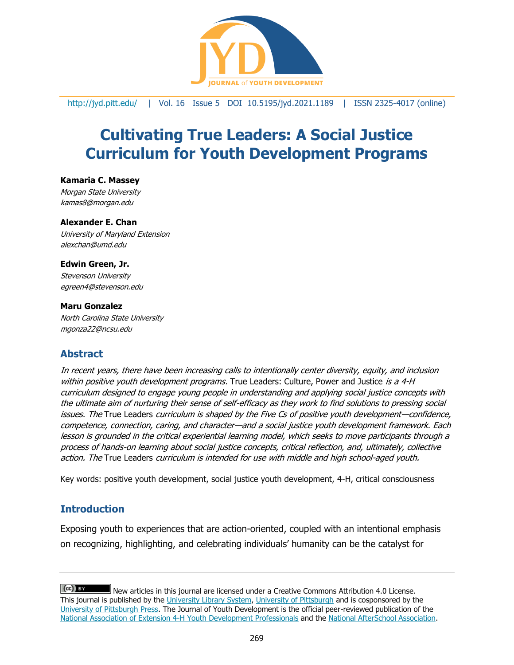

<http://jyd.pitt.edu/> | Vol. 16 Issue 5 DOI 10.5195/jyd.2021.1189 | ISSN 2325-4017 (online)

# **Cultivating True Leaders: A Social Justice Curriculum for Youth Development Programs**

## **Kamaria C. Massey**

Morgan State University [kamas8@morgan.edu](mailto:kamas8@morgan.edu)

#### **Alexander E. Chan**

University of Maryland Extension alexchan@umd.edu

#### **Edwin Green, Jr.**

Stevenson University egreen4@stevenson.edu

#### **Maru Gonzalez**

North Carolina State University mgonza22@ncsu.edu

# **Abstract**

In recent years, there have been increasing calls to intentionally center diversity, equity, and inclusion within positive youth development programs. True Leaders: Culture, Power and Justice is a 4-H curriculum designed to engage young people in understanding and applying social justice concepts with the ultimate aim of nurturing their sense of self-efficacy as they work to find solutions to pressing social issues. The True Leaders curriculum is shaped by the Five Cs of positive youth development—confidence, competence, connection, caring, and character—and a social justice youth development framework. Each lesson is grounded in the critical experiential learning model, which seeks to move participants through a process of hands-on learning about social justice concepts, critical reflection, and, ultimately, collective action. The True Leaders curriculum is intended for use with middle and high school-aged youth.

Key words: positive youth development, social justice youth development, 4-H, critical consciousness

# **Introduction**

Exposing youth to experiences that are action-oriented, coupled with an intentional emphasis on recognizing, highlighting, and celebrating individuals' humanity can be the catalyst for

 $(cc)$  BY New articles in this journal are licensed under a Creative Commons Attribution 4.0 License. This journal is published by the [University Library System,](http://www.library.pitt.edu/) [University of Pittsburgh](http://www.pitt.edu/) and is cosponsored by the [University of Pittsburgh Press.](http://www.upress.pitt.edu/upressIndex.aspx) The Journal of Youth Development is the official peer-reviewed publication of the [National Association of Extension 4-H Youth Development Professionals](http://www.nae4ha.com/) and the [National AfterSchool Association.](http://naaweb.org/)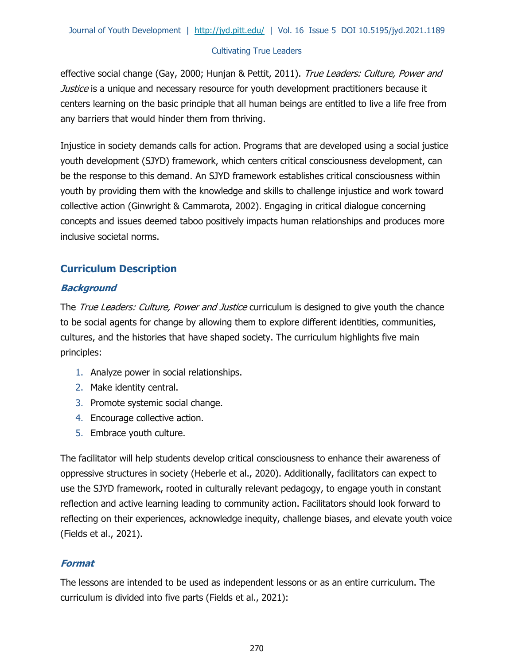effective social change (Gay, 2000; Hunjan & Pettit, 2011). True Leaders: Culture, Power and *Justice* is a unique and necessary resource for youth development practitioners because it centers learning on the basic principle that all human beings are entitled to live a life free from any barriers that would hinder them from thriving.

Injustice in society demands calls for action. Programs that are developed using a social justice youth development (SJYD) framework, which centers critical consciousness development, can be the response to this demand. An SJYD framework establishes critical consciousness within youth by providing them with the knowledge and skills to challenge injustice and work toward collective action (Ginwright & Cammarota, 2002). Engaging in critical dialogue concerning concepts and issues deemed taboo positively impacts human relationships and produces more inclusive societal norms.

## **Curriculum Description**

## **Background**

The True Leaders: Culture, Power and Justice curriculum is designed to give youth the chance to be social agents for change by allowing them to explore different identities, communities, cultures, and the histories that have shaped society. The curriculum highlights five main principles:

- 1. Analyze power in social relationships.
- 2. Make identity central.
- 3. Promote systemic social change.
- 4. Encourage collective action.
- 5. Embrace youth culture.

The facilitator will help students develop critical consciousness to enhance their awareness of oppressive structures in society (Heberle et al., 2020). Additionally, facilitators can expect to use the SJYD framework, rooted in culturally relevant pedagogy, to engage youth in constant reflection and active learning leading to community action. Facilitators should look forward to reflecting on their experiences, acknowledge inequity, challenge biases, and elevate youth voice (Fields et al., 2021).

## **Format**

The lessons are intended to be used as independent lessons or as an entire curriculum. The curriculum is divided into five parts (Fields et al., 2021):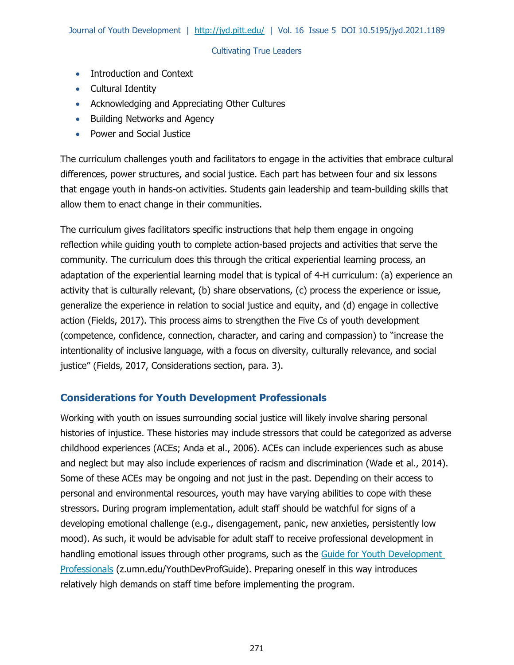- Introduction and Context
- Cultural Identity
- Acknowledging and Appreciating Other Cultures
- Building Networks and Agency
- Power and Social Justice

The curriculum challenges youth and facilitators to engage in the activities that embrace cultural differences, power structures, and social justice. Each part has between four and six lessons that engage youth in hands-on activities. Students gain leadership and team-building skills that allow them to enact change in their communities.

The curriculum gives facilitators specific instructions that help them engage in ongoing reflection while guiding youth to complete action-based projects and activities that serve the community. The curriculum does this through the critical experiential learning process, an adaptation of the experiential learning model that is typical of 4-H curriculum: (a) experience an activity that is culturally relevant, (b) share observations, (c) process the experience or issue, generalize the experience in relation to social justice and equity, and (d) engage in collective action (Fields, 2017). This process aims to strengthen the Five Cs of youth development (competence, confidence, connection, character, and caring and compassion) to "increase the intentionality of inclusive language, with a focus on diversity, culturally relevance, and social justice" (Fields, 2017, Considerations section, para. 3).

## **Considerations for Youth Development Professionals**

Working with youth on issues surrounding social justice will likely involve sharing personal histories of injustice. These histories may include stressors that could be categorized as adverse childhood experiences (ACEs; Anda et al., 2006). ACEs can include experiences such as abuse and neglect but may also include experiences of racism and discrimination (Wade et al., 2014). Some of these ACEs may be ongoing and not just in the past. Depending on their access to personal and environmental resources, youth may have varying abilities to cope with these stressors. During program implementation, adult staff should be watchful for signs of a developing emotional challenge (e.g., disengagement, panic, new anxieties, persistently low mood). As such, it would be advisable for adult staff to receive professional development in handling emotional issues through other programs, such as the Guide for Youth Development [Professionals](https://4-h.org/wp-content/uploads/2018/12/4-H-Social-Justice-Youth-Development-Professional-Development-Resource-FINAL-004.pdf) (z.umn.edu/YouthDevProfGuide). Preparing oneself in this way introduces relatively high demands on staff time before implementing the program.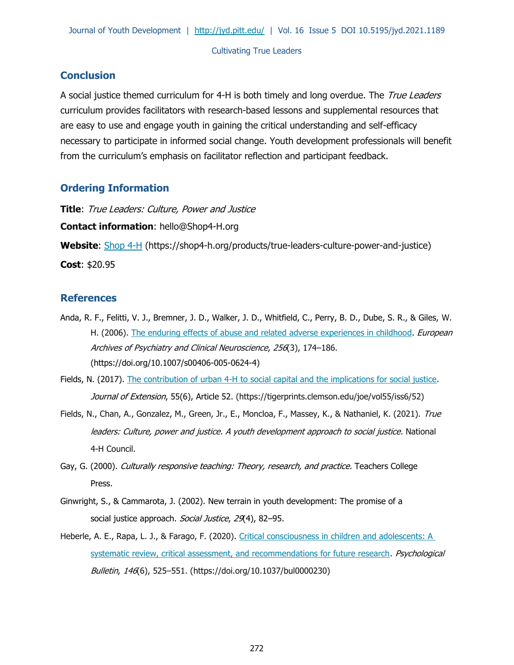## **Conclusion**

A social justice themed curriculum for 4-H is both timely and long overdue. The True Leaders curriculum provides facilitators with research-based lessons and supplemental resources that are easy to use and engage youth in gaining the critical understanding and self-efficacy necessary to participate in informed social change. Youth development professionals will benefit from the curriculum's emphasis on facilitator reflection and participant feedback.

## **Ordering Information**

**Title**: True Leaders: Culture, Power and Justice **Contact information**: [hello@Shop4-H.org](mailto:hello@Shop4-H.org) **Website**: [Shop 4-H](https://shop4-h.org/products/true-leaders-culture-power-and-justice) (https://shop4-h.org/products/true-leaders-culture-power-and-justice)

**Cost**: \$20.95

#### **References**

- Anda, R. F., Felitti, V. J., Bremner, J. D., Walker, J. D., Whitfield, C., Perry, B. D., Dube, S. R., & Giles, W. H. (2006). [The enduring effects of abuse and related adverse experiences in childhood.](https://doi.org/10.1007/s00406-005-0624-4) *European* Archives of Psychiatry and Clinical Neuroscience, 256(3), 174–186. (https://doi.org/10.1007/s00406-005-0624-4)
- Fields, N. (2017). [The contribution of urban 4-H to social capital and the implications for social justice.](https://tigerprints.clemson.edu/joe/vol55/iss6/52) Journal of Extension, 55(6), Article 52. (https://tigerprints.clemson.edu/joe/vol55/iss6/52)
- Fields, N., Chan, A., Gonzalez, M., Green, Jr., E., Moncloa, F., Massey, K., & Nathaniel, K. (2021). True leaders: Culture, power and justice. A youth development approach to social justice. National 4-H Council.
- Gay, G. (2000). Culturally responsive teaching: Theory, research, and practice. Teachers College Press.
- Ginwright, S., & Cammarota, J. (2002). New terrain in youth development: The promise of a social justice approach. Social Justice, 29(4), 82-95.
- Heberle, A. E., Rapa, L. J., & Farago, F. (2020). Critical consciousness in children and adolescents: A [systematic review, critical assessment, and recommendations for future research.](https://doi.org/10.1037/bul0000230) *Psychological* Bulletin, 146(6), 525–551. (https://doi.org/10.1037/bul0000230)